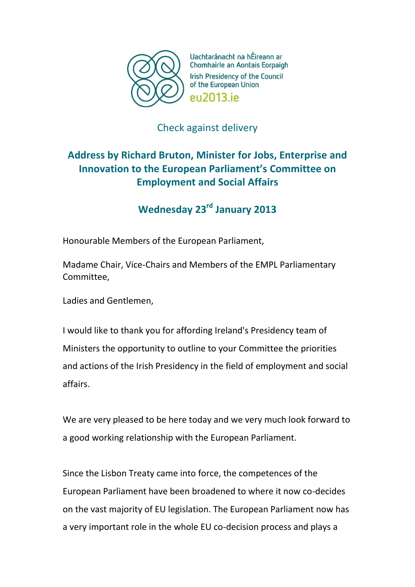

Uachtaránacht na hÉireann ar Chomhairle an Aontais Eorpaigh Irish Presidency of the Council of the European Union **PU2013** iP

## Check against delivery

## **Address by Richard Bruton, Minister for Jobs, Enterprise and Innovation to the European Parliament's Committee on Employment and Social Affairs**

## **Wednesday 23rd January 2013**

Honourable Members of the European Parliament,

Madame Chair, Vice-Chairs and Members of the EMPL Parliamentary Committee,

Ladies and Gentlemen,

I would like to thank you for affording Ireland's Presidency team of Ministers the opportunity to outline to your Committee the priorities and actions of the Irish Presidency in the field of employment and social affairs.

We are very pleased to be here today and we very much look forward to a good working relationship with the European Parliament.

Since the Lisbon Treaty came into force, the competences of the European Parliament have been broadened to where it now co-decides on the vast majority of EU legislation. The European Parliament now has a very important role in the whole EU co-decision process and plays a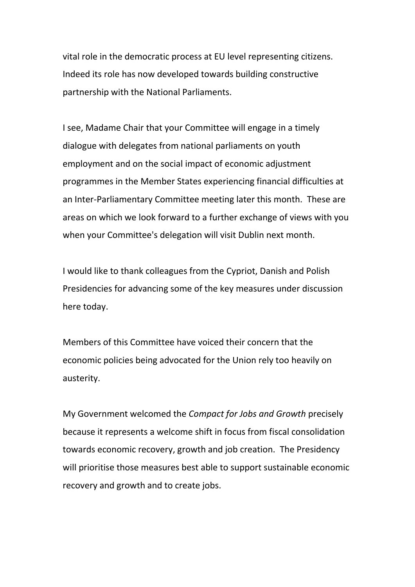vital role in the democratic process at EU level representing citizens. Indeed its role has now developed towards building constructive partnership with the National Parliaments.

I see, Madame Chair that your Committee will engage in a timely dialogue with delegates from national parliaments on youth employment and on the social impact of economic adjustment programmes in the Member States experiencing financial difficulties at an Inter-Parliamentary Committee meeting later this month. These are areas on which we look forward to a further exchange of views with you when your Committee's delegation will visit Dublin next month.

I would like to thank colleagues from the Cypriot, Danish and Polish Presidencies for advancing some of the key measures under discussion here today.

Members of this Committee have voiced their concern that the economic policies being advocated for the Union rely too heavily on austerity.

My Government welcomed the *Compact for Jobs and Growth* precisely because it represents a welcome shift in focus from fiscal consolidation towards economic recovery, growth and job creation. The Presidency will prioritise those measures best able to support sustainable economic recovery and growth and to create jobs.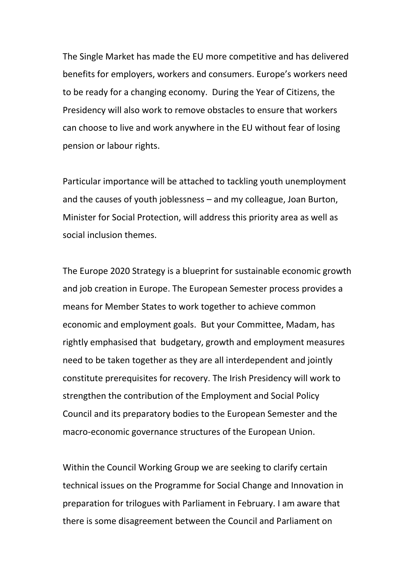The Single Market has made the EU more competitive and has delivered benefits for employers, workers and consumers. Europe's workers need to be ready for a changing economy. During the Year of Citizens, the Presidency will also work to remove obstacles to ensure that workers can choose to live and work anywhere in the EU without fear of losing pension or labour rights.

Particular importance will be attached to tackling youth unemployment and the causes of youth joblessness – and my colleague, Joan Burton, Minister for Social Protection, will address this priority area as well as social inclusion themes.

The Europe 2020 Strategy is a blueprint for sustainable economic growth and job creation in Europe. The European Semester process provides a means for Member States to work together to achieve common economic and employment goals. But your Committee, Madam, has rightly emphasised that budgetary, growth and employment measures need to be taken together as they are all interdependent and jointly constitute prerequisites for recovery. The Irish Presidency will work to strengthen the contribution of the Employment and Social Policy Council and its preparatory bodies to the European Semester and the macro-economic governance structures of the European Union.

Within the Council Working Group we are seeking to clarify certain technical issues on the Programme for Social Change and Innovation in preparation for trilogues with Parliament in February. I am aware that there is some disagreement between the Council and Parliament on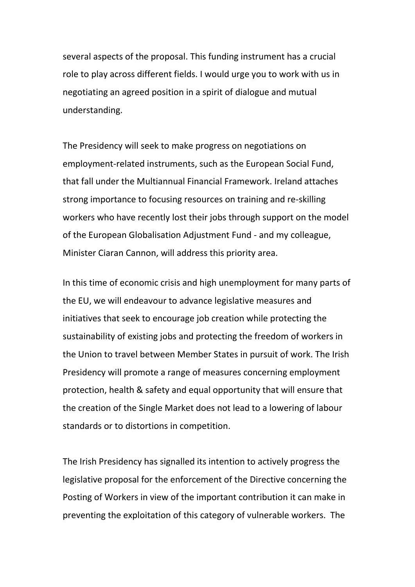several aspects of the proposal. This funding instrument has a crucial role to play across different fields. I would urge you to work with us in negotiating an agreed position in a spirit of dialogue and mutual understanding.

The Presidency will seek to make progress on negotiations on employment-related instruments, such as the European Social Fund, that fall under the Multiannual Financial Framework. Ireland attaches strong importance to focusing resources on training and re-skilling workers who have recently lost their jobs through support on the model of the European Globalisation Adjustment Fund - and my colleague, Minister Ciaran Cannon, will address this priority area.

In this time of economic crisis and high unemployment for many parts of the EU, we will endeavour to advance legislative measures and initiatives that seek to encourage job creation while protecting the sustainability of existing jobs and protecting the freedom of workers in the Union to travel between Member States in pursuit of work. The Irish Presidency will promote a range of measures concerning employment protection, health & safety and equal opportunity that will ensure that the creation of the Single Market does not lead to a lowering of labour standards or to distortions in competition.

The Irish Presidency has signalled its intention to actively progress the legislative proposal for the enforcement of the Directive concerning the Posting of Workers in view of the important contribution it can make in preventing the exploitation of this category of vulnerable workers. The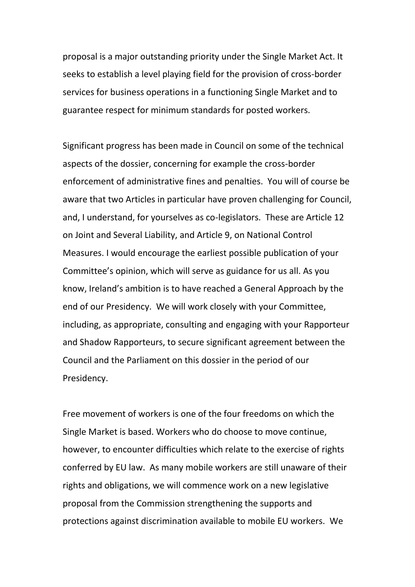proposal is a major outstanding priority under the Single Market Act. It seeks to establish a level playing field for the provision of cross-border services for business operations in a functioning Single Market and to guarantee respect for minimum standards for posted workers.

Significant progress has been made in Council on some of the technical aspects of the dossier, concerning for example the cross-border enforcement of administrative fines and penalties. You will of course be aware that two Articles in particular have proven challenging for Council, and, I understand, for yourselves as co-legislators. These are Article 12 on Joint and Several Liability, and Article 9, on National Control Measures. I would encourage the earliest possible publication of your Committee's opinion, which will serve as guidance for us all. As you know, Ireland's ambition is to have reached a General Approach by the end of our Presidency. We will work closely with your Committee, including, as appropriate, consulting and engaging with your Rapporteur and Shadow Rapporteurs, to secure significant agreement between the Council and the Parliament on this dossier in the period of our Presidency.

Free movement of workers is one of the four freedoms on which the Single Market is based. Workers who do choose to move continue, however, to encounter difficulties which relate to the exercise of rights conferred by EU law. As many mobile workers are still unaware of their rights and obligations, we will commence work on a new legislative proposal from the Commission strengthening the supports and protections against discrimination available to mobile EU workers. We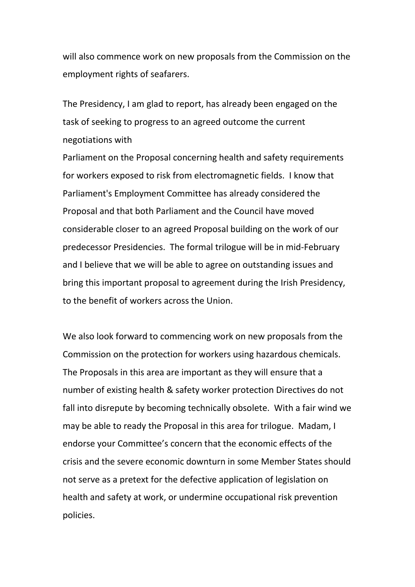will also commence work on new proposals from the Commission on the employment rights of seafarers.

The Presidency, I am glad to report, has already been engaged on the task of seeking to progress to an agreed outcome the current negotiations with

Parliament on the Proposal concerning health and safety requirements for workers exposed to risk from electromagnetic fields. I know that Parliament's Employment Committee has already considered the Proposal and that both Parliament and the Council have moved considerable closer to an agreed Proposal building on the work of our predecessor Presidencies. The formal trilogue will be in mid-February and I believe that we will be able to agree on outstanding issues and bring this important proposal to agreement during the Irish Presidency, to the benefit of workers across the Union.

We also look forward to commencing work on new proposals from the Commission on the protection for workers using hazardous chemicals. The Proposals in this area are important as they will ensure that a number of existing health & safety worker protection Directives do not fall into disrepute by becoming technically obsolete. With a fair wind we may be able to ready the Proposal in this area for trilogue. Madam, I endorse your Committee's concern that the economic effects of the crisis and the severe economic downturn in some Member States should not serve as a pretext for the defective application of legislation on health and safety at work, or undermine occupational risk prevention policies.